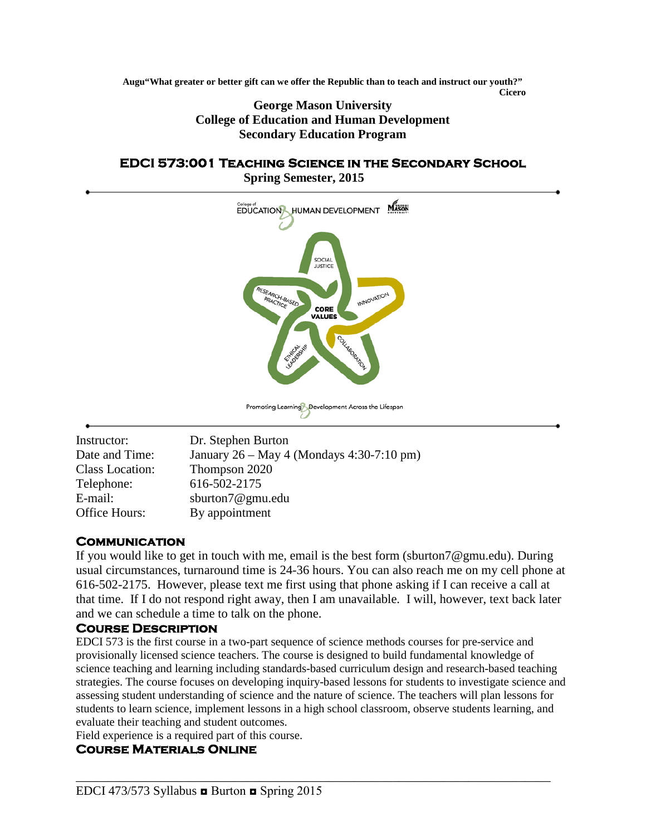**Augu"What greater or better gift can we offer the Republic than to teach and instruct our youth?" Cicero**

> **George Mason University College of Education and Human Development Secondary Education Program**

#### **EDCI 573:001 Teaching Science in the Secondary School Spring Semester, 2015**



| Instructor:     | Dr. Stephen Burton                        |
|-----------------|-------------------------------------------|
| Date and Time:  | January 26 – May 4 (Mondays 4:30-7:10 pm) |
| Class Location: | Thompson 2020                             |
| Telephone:      | 616-502-2175                              |
| E-mail:         | sburton7@gmu.edu                          |
| Office Hours:   | By appointment                            |

## **Communication**

If you would like to get in touch with me, email is the best form (sburton7@gmu.edu). During usual circumstances, turnaround time is 24-36 hours. You can also reach me on my cell phone at 616-502-2175. However, please text me first using that phone asking if I can receive a call at that time. If I do not respond right away, then I am unavailable. I will, however, text back later and we can schedule a time to talk on the phone.

# **Course Description**

EDCI 573 is the first course in a two-part sequence of science methods courses for pre-service and provisionally licensed science teachers. The course is designed to build fundamental knowledge of science teaching and learning including standards-based curriculum design and research-based teaching strategies. The course focuses on developing inquiry-based lessons for students to investigate science and assessing student understanding of science and the nature of science. The teachers will plan lessons for students to learn science, implement lessons in a high school classroom, observe students learning, and evaluate their teaching and student outcomes.

Field experience is a required part of this course.

# **Course Materials Online**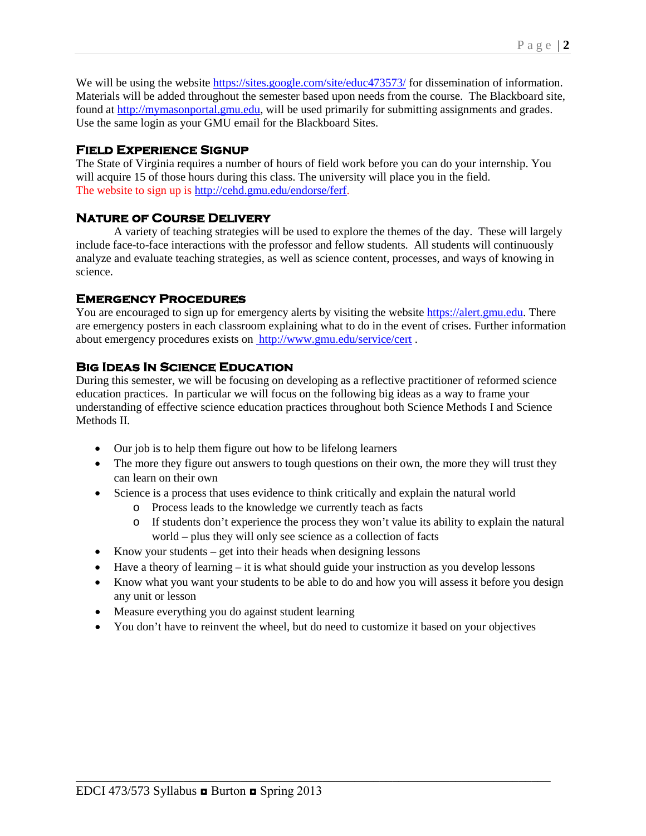We will be using the website<https://sites.google.com/site/educ473573/> for dissemination of information. Materials will be added throughout the semester based upon needs from the course. The Blackboard site, found at [http://mymasonportal.gmu.edu,](http://mymasonportal.gmu.edu/) will be used primarily for submitting assignments and grades. Use the same login as your GMU email for the Blackboard Sites.

# **Field Experience Signup**

The State of Virginia requires a number of hours of field work before you can do your internship. You will acquire 15 of those hours during this class. The university will place you in the field. The website to sign up is [http://cehd.gmu.edu/endorse/ferf.](http://cehd.gmu.edu/endorse/ferf)

# **Nature of Course Delivery**

A variety of teaching strategies will be used to explore the themes of the day. These will largely include face-to-face interactions with the professor and fellow students. All students will continuously analyze and evaluate teaching strategies, as well as science content, processes, and ways of knowing in science.

## **Emergency Procedures**

You are encouraged to sign up for emergency alerts by visiting the website [https://alert.gmu.edu.](https://alert.gmu.edu/) There are emergency posters in each classroom explaining what to do in the event of crises. Further information about emergency procedures exists on <http://www.gmu.edu/service/cert> .

# **Big Ideas In Science Education**

During this semester, we will be focusing on developing as a reflective practitioner of reformed science education practices. In particular we will focus on the following big ideas as a way to frame your understanding of effective science education practices throughout both Science Methods I and Science Methods **II** 

- Our job is to help them figure out how to be lifelong learners
- The more they figure out answers to tough questions on their own, the more they will trust they can learn on their own
- Science is a process that uses evidence to think critically and explain the natural world
	- o Process leads to the knowledge we currently teach as facts
	- o If students don't experience the process they won't value its ability to explain the natural world – plus they will only see science as a collection of facts
- Know your students get into their heads when designing lessons
- Have a theory of learning it is what should guide your instruction as you develop lessons
- Know what you want your students to be able to do and how you will assess it before you design any unit or lesson
- Measure everything you do against student learning
- You don't have to reinvent the wheel, but do need to customize it based on your objectives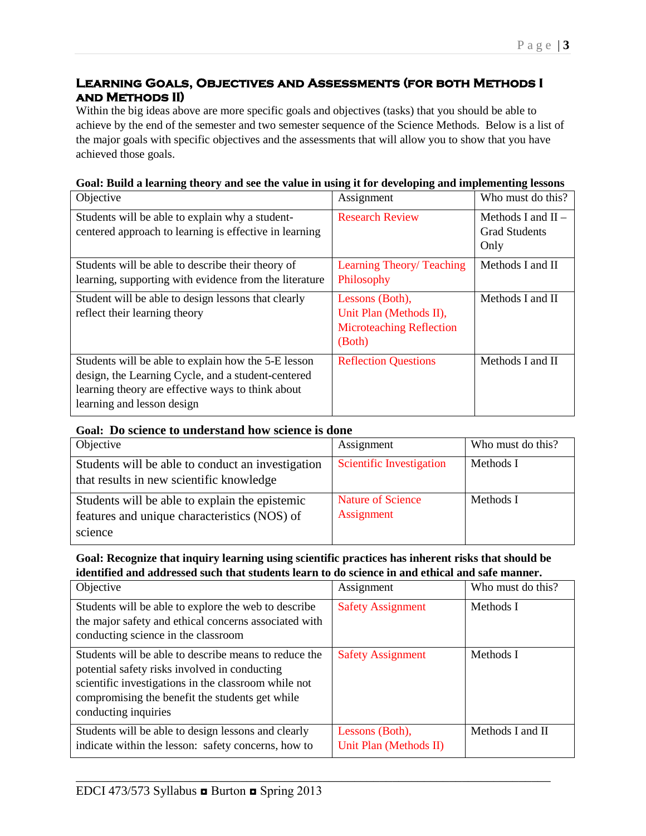# **Learning Goals, Objectives and Assessments (for both Methods I and Methods II)**

Within the big ideas above are more specific goals and objectives (tasks) that you should be able to achieve by the end of the semester and two semester sequence of the Science Methods. Below is a list of the major goals with specific objectives and the assessments that will allow you to show that you have achieved those goals.

| Objective                                                                                                                                                                                    | Assignment                                                                              | Who must do this?                                    |
|----------------------------------------------------------------------------------------------------------------------------------------------------------------------------------------------|-----------------------------------------------------------------------------------------|------------------------------------------------------|
| Students will be able to explain why a student-<br>centered approach to learning is effective in learning                                                                                    | <b>Research Review</b>                                                                  | Methods I and $II -$<br><b>Grad Students</b><br>Only |
| Students will be able to describe their theory of<br>learning, supporting with evidence from the literature                                                                                  | Learning Theory/Teaching<br>Philosophy                                                  | Methods I and II                                     |
| Student will be able to design lessons that clearly<br>reflect their learning theory                                                                                                         | Lessons (Both),<br>Unit Plan (Methods II),<br><b>Microteaching Reflection</b><br>(Both) | Methods I and II                                     |
| Students will be able to explain how the 5-E lesson<br>design, the Learning Cycle, and a student-centered<br>learning theory are effective ways to think about<br>learning and lesson design | <b>Reflection Questions</b>                                                             | Methods I and II                                     |

#### **Goal: Build a learning theory and see the value in using it for developing and implementing lessons**

#### **Goal: Do science to understand how science is done**

| Objective                                                                                      | Assignment                             | Who must do this? |
|------------------------------------------------------------------------------------------------|----------------------------------------|-------------------|
| Students will be able to conduct an investigation<br>that results in new scientific knowledge  | <b>Scientific Investigation</b>        | Methods I         |
| Students will be able to explain the epistemic<br>features and unique characteristics (NOS) of | <b>Nature of Science</b><br>Assignment | Methods I         |
| science                                                                                        |                                        |                   |

#### **Goal: Recognize that inquiry learning using scientific practices has inherent risks that should be identified and addressed such that students learn to do science in and ethical and safe manner.**

| Objective                                                                                                                                                                                                                                 | Assignment                                | Who must do this? |
|-------------------------------------------------------------------------------------------------------------------------------------------------------------------------------------------------------------------------------------------|-------------------------------------------|-------------------|
| Students will be able to explore the web to describe<br>the major safety and ethical concerns associated with<br>conducting science in the classroom                                                                                      | <b>Safety Assignment</b>                  | Methods I         |
| Students will be able to describe means to reduce the<br>potential safety risks involved in conducting<br>scientific investigations in the classroom while not<br>compromising the benefit the students get while<br>conducting inquiries | <b>Safety Assignment</b>                  | Methods I         |
| Students will be able to design lessons and clearly<br>indicate within the lesson: safety concerns, how to                                                                                                                                | Lessons (Both),<br>Unit Plan (Methods II) | Methods I and II  |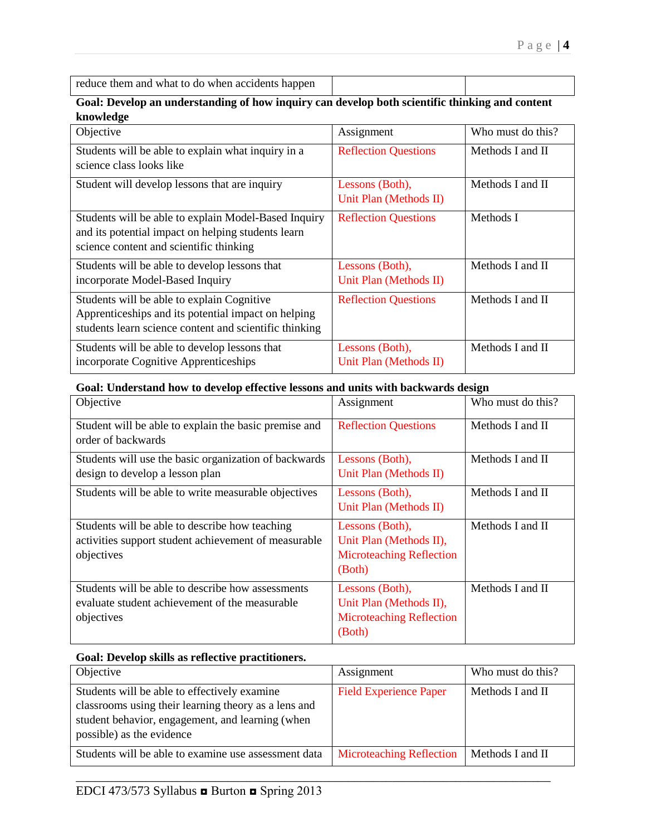| reduce them and what to do when accidents happen |  |
|--------------------------------------------------|--|
|                                                  |  |

### **Goal: Develop an understanding of how inquiry can develop both scientific thinking and content knowledge**

| Objective                                              | Assignment                  | Who must do this? |
|--------------------------------------------------------|-----------------------------|-------------------|
| Students will be able to explain what inquiry in a     | <b>Reflection Questions</b> | Methods I and II  |
| science class looks like                               |                             |                   |
| Student will develop lessons that are inquiry          | Lessons (Both),             | Methods I and II  |
|                                                        | Unit Plan (Methods II)      |                   |
| Students will be able to explain Model-Based Inquiry   | <b>Reflection Questions</b> | Methods I         |
| and its potential impact on helping students learn     |                             |                   |
| science content and scientific thinking                |                             |                   |
| Students will be able to develop lessons that          | Lessons (Both),             | Methods I and II  |
| incorporate Model-Based Inquiry                        | Unit Plan (Methods II)      |                   |
| Students will be able to explain Cognitive             | <b>Reflection Questions</b> | Methods I and II  |
| Apprenticeships and its potential impact on helping    |                             |                   |
| students learn science content and scientific thinking |                             |                   |
| Students will be able to develop lessons that          | Lessons (Both),             | Methods I and II  |
| incorporate Cognitive Apprenticeships                  | Unit Plan (Methods II)      |                   |

#### **Goal: Understand how to develop effective lessons and units with backwards design**

| Objective                                                                                                            | Assignment                                                                              | Who must do this? |
|----------------------------------------------------------------------------------------------------------------------|-----------------------------------------------------------------------------------------|-------------------|
| Student will be able to explain the basic premise and<br>order of backwards                                          | <b>Reflection Questions</b>                                                             | Methods I and II  |
| Students will use the basic organization of backwards<br>design to develop a lesson plan                             | Lessons (Both),<br>Unit Plan (Methods II)                                               | Methods I and II  |
| Students will be able to write measurable objectives                                                                 | Lessons (Both),<br>Unit Plan (Methods II)                                               | Methods I and II  |
| Students will be able to describe how teaching<br>activities support student achievement of measurable<br>objectives | Lessons (Both),<br>Unit Plan (Methods II),<br><b>Microteaching Reflection</b><br>(Both) | Methods I and II  |
| Students will be able to describe how assessments<br>evaluate student achievement of the measurable<br>objectives    | Lessons (Both),<br>Unit Plan (Methods II),<br><b>Microteaching Reflection</b><br>(Both) | Methods I and II  |

### **Goal: Develop skills as reflective practitioners.**

| Objective                                                                                                                                                                             | Assignment                      | Who must do this? |
|---------------------------------------------------------------------------------------------------------------------------------------------------------------------------------------|---------------------------------|-------------------|
| Students will be able to effectively examine<br>classrooms using their learning theory as a lens and<br>student behavior, engagement, and learning (when<br>possible) as the evidence | <b>Field Experience Paper</b>   | Methods I and II  |
| Students will be able to examine use assessment data                                                                                                                                  | <b>Microteaching Reflection</b> | Methods I and II  |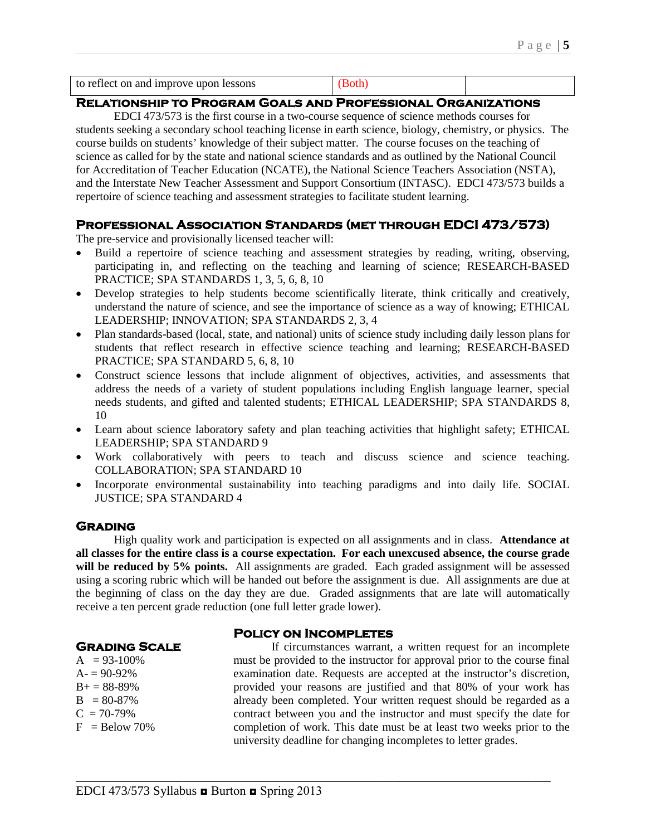| to reflect on and improve upon lessons |  |  |  |
|----------------------------------------|--|--|--|
|----------------------------------------|--|--|--|

## **Relationship to Program Goals and Professional Organizations**

EDCI 473/573 is the first course in a two-course sequence of science methods courses for students seeking a secondary school teaching license in earth science, biology, chemistry, or physics. The course builds on students' knowledge of their subject matter. The course focuses on the teaching of science as called for by the state and national science standards and as outlined by the National Council for Accreditation of Teacher Education (NCATE), the National Science Teachers Association (NSTA), and the Interstate New Teacher Assessment and Support Consortium (INTASC). EDCI 473/573 builds a repertoire of science teaching and assessment strategies to facilitate student learning.

## **Professional Association Standards (met through EDCI 473/573)**

The pre-service and provisionally licensed teacher will:

- Build a repertoire of science teaching and assessment strategies by reading, writing, observing, participating in, and reflecting on the teaching and learning of science; RESEARCH-BASED PRACTICE; SPA STANDARDS 1, 3, 5, 6, 8, 10
- Develop strategies to help students become scientifically literate, think critically and creatively, understand the nature of science, and see the importance of science as a way of knowing; ETHICAL LEADERSHIP; INNOVATION; SPA STANDARDS 2, 3, 4
- Plan standards-based (local, state, and national) units of science study including daily lesson plans for students that reflect research in effective science teaching and learning; RESEARCH-BASED PRACTICE; SPA STANDARD 5, 6, 8, 10
- Construct science lessons that include alignment of objectives, activities, and assessments that address the needs of a variety of student populations including English language learner, special needs students, and gifted and talented students; ETHICAL LEADERSHIP; SPA STANDARDS 8, 10
- Learn about science laboratory safety and plan teaching activities that highlight safety; ETHICAL LEADERSHIP; SPA STANDARD 9
- Work collaboratively with peers to teach and discuss science and science teaching. COLLABORATION; SPA STANDARD 10
- Incorporate environmental sustainability into teaching paradigms and into daily life. SOCIAL JUSTICE; SPA STANDARD 4

#### **Grading**

High quality work and participation is expected on all assignments and in class. **Attendance at all classes for the entire class is a course expectation. For each unexcused absence, the course grade**  will be reduced by 5% points. All assignments are graded. Each graded assignment will be assessed using a scoring rubric which will be handed out before the assignment is due. All assignments are due at the beginning of class on the day they are due. Graded assignments that are late will automatically receive a ten percent grade reduction (one full letter grade lower).

#### **Policy on Incompletes**

\_\_\_\_\_\_\_\_\_\_\_\_\_\_\_\_\_\_\_\_\_\_\_\_\_\_\_\_\_\_\_\_\_\_\_\_\_\_\_\_\_\_\_\_\_\_\_\_\_\_\_\_\_\_\_\_\_\_\_\_\_\_\_\_\_\_\_\_\_\_\_\_\_\_\_

## **Grading Scale**

 $A = 93-100\%$  $A = 90 - 92%$  $B+= 88-89%$  $B = 80-87\%$  $C = 70-79\%$  $F =$ Below 70%

If circumstances warrant, a written request for an incomplete must be provided to the instructor for approval prior to the course final examination date. Requests are accepted at the instructor's discretion, provided your reasons are justified and that 80% of your work has already been completed. Your written request should be regarded as a contract between you and the instructor and must specify the date for completion of work. This date must be at least two weeks prior to the university deadline for changing incompletes to letter grades.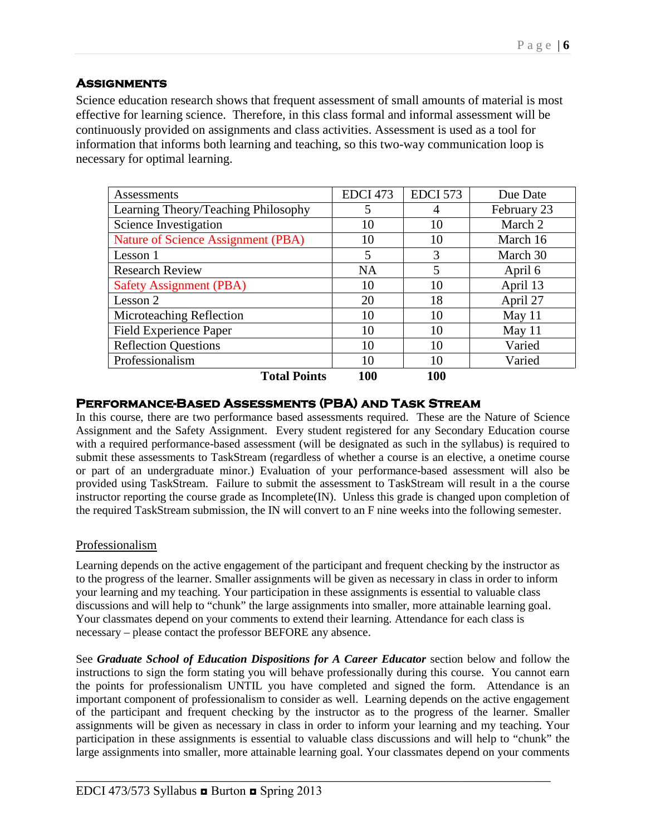# **Assignments**

Science education research shows that frequent assessment of small amounts of material is most effective for learning science. Therefore, in this class formal and informal assessment will be continuously provided on assignments and class activities. Assessment is used as a tool for information that informs both learning and teaching, so this two-way communication loop is necessary for optimal learning.

| Assessments                               | <b>EDCI 473</b> | <b>EDCI 573</b> | Due Date    |
|-------------------------------------------|-----------------|-----------------|-------------|
| Learning Theory/Teaching Philosophy       | 5               | 4               | February 23 |
| Science Investigation                     | 10              | 10              | March 2     |
| <b>Nature of Science Assignment (PBA)</b> | 10              | 10              | March 16    |
| Lesson 1                                  | 5               | 3               | March 30    |
| <b>Research Review</b>                    | <b>NA</b>       | 5               | April 6     |
| <b>Safety Assignment (PBA)</b>            | 10              | 10              | April 13    |
| Lesson 2                                  | 20              | 18              | April 27    |
| Microteaching Reflection                  | 10              | 10              | May 11      |
| <b>Field Experience Paper</b>             | 10              | 10              | May 11      |
| <b>Reflection Questions</b>               | 10              | 10              | Varied      |
| Professionalism                           | 10              | 10              | Varied      |
| <b>Total Points</b>                       | 100             | <b>100</b>      |             |

## **Performance-Based Assessments (PBA) and Task Stream**

In this course, there are two performance based assessments required. These are the Nature of Science Assignment and the Safety Assignment. Every student registered for any Secondary Education course with a required performance-based assessment (will be designated as such in the syllabus) is required to submit these assessments to TaskStream (regardless of whether a course is an elective, a onetime course or part of an undergraduate minor.) Evaluation of your performance-based assessment will also be provided using TaskStream. Failure to submit the assessment to TaskStream will result in a the course instructor reporting the course grade as Incomplete(IN). Unless this grade is changed upon completion of the required TaskStream submission, the IN will convert to an F nine weeks into the following semester.

## Professionalism

Learning depends on the active engagement of the participant and frequent checking by the instructor as to the progress of the learner. Smaller assignments will be given as necessary in class in order to inform your learning and my teaching. Your participation in these assignments is essential to valuable class discussions and will help to "chunk" the large assignments into smaller, more attainable learning goal. Your classmates depend on your comments to extend their learning. Attendance for each class is necessary – please contact the professor BEFORE any absence.

See *Graduate School of Education Dispositions for A Career Educator* section below and follow the instructions to sign the form stating you will behave professionally during this course. You cannot earn the points for professionalism UNTIL you have completed and signed the form. Attendance is an important component of professionalism to consider as well. Learning depends on the active engagement of the participant and frequent checking by the instructor as to the progress of the learner. Smaller assignments will be given as necessary in class in order to inform your learning and my teaching. Your participation in these assignments is essential to valuable class discussions and will help to "chunk" the large assignments into smaller, more attainable learning goal. Your classmates depend on your comments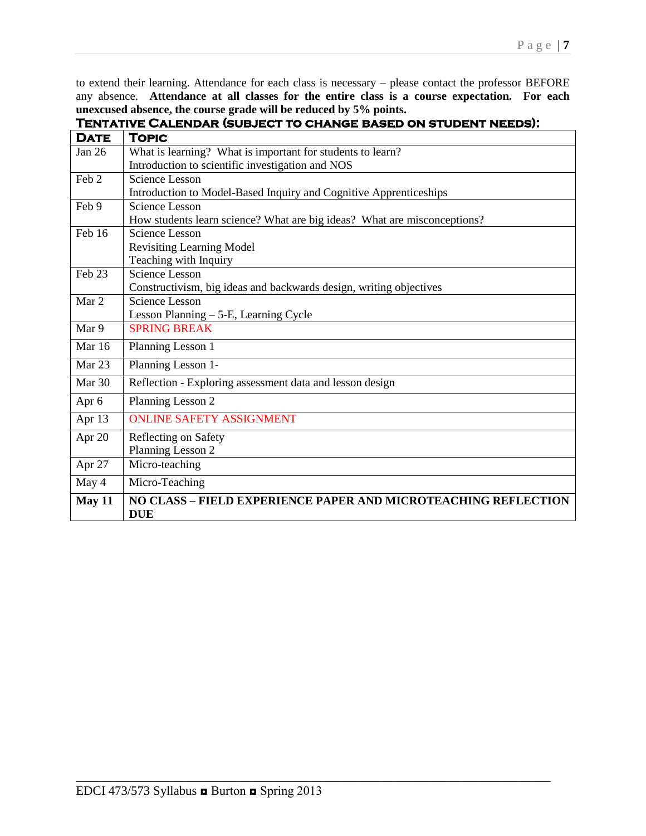to extend their learning. Attendance for each class is necessary – please contact the professor BEFORE any absence. **Attendance at all classes for the entire class is a course expectation. For each unexcused absence, the course grade will be reduced by 5% points.**

| <b>DATE</b> | TOPIC                                                                        |
|-------------|------------------------------------------------------------------------------|
| Jan $26$    | What is learning? What is important for students to learn?                   |
|             | Introduction to scientific investigation and NOS                             |
| Feb 2       | Science Lesson                                                               |
|             | Introduction to Model-Based Inquiry and Cognitive Apprenticeships            |
| Feb 9       | <b>Science Lesson</b>                                                        |
|             | How students learn science? What are big ideas? What are misconceptions?     |
| Feb 16      | <b>Science Lesson</b>                                                        |
|             | <b>Revisiting Learning Model</b>                                             |
|             | Teaching with Inquiry                                                        |
| Feb 23      | <b>Science Lesson</b>                                                        |
|             | Constructivism, big ideas and backwards design, writing objectives           |
| Mar 2       | Science Lesson                                                               |
|             | Lesson Planning - 5-E, Learning Cycle                                        |
| Mar 9       | <b>SPRING BREAK</b>                                                          |
| Mar $16$    | Planning Lesson 1                                                            |
| Mar 23      | Planning Lesson 1-                                                           |
| Mar 30      | Reflection - Exploring assessment data and lesson design                     |
| Apr 6       | Planning Lesson 2                                                            |
| Apr 13      | <b>ONLINE SAFETY ASSIGNMENT</b>                                              |
| Apr 20      | Reflecting on Safety                                                         |
|             | Planning Lesson 2                                                            |
| Apr 27      | Micro-teaching                                                               |
| May 4       | Micro-Teaching                                                               |
| May 11      | NO CLASS – FIELD EXPERIENCE PAPER AND MICROTEACHING REFLECTION<br><b>DUE</b> |

\_\_\_\_\_\_\_\_\_\_\_\_\_\_\_\_\_\_\_\_\_\_\_\_\_\_\_\_\_\_\_\_\_\_\_\_\_\_\_\_\_\_\_\_\_\_\_\_\_\_\_\_\_\_\_\_\_\_\_\_\_\_\_\_\_\_\_\_\_\_\_\_\_\_\_

# **Tentative Calendar (subject to change based on student needs):**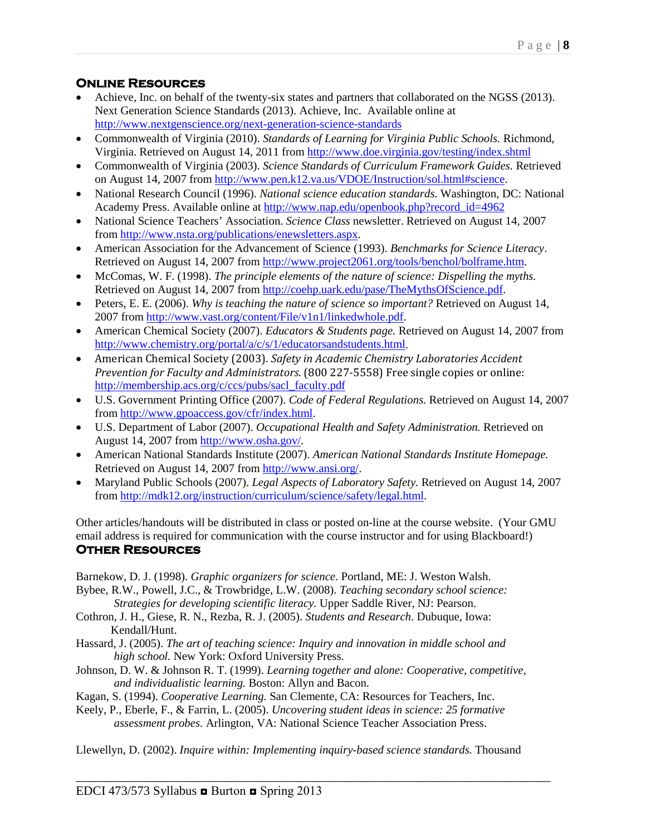# **Online Resources**

- Achieve, Inc. on behalf of the twenty-six states and partners that collaborated on the NGSS (2013). Next Generation Science Standards (2013). Achieve, Inc. Available online at <http://www.nextgenscience.org/next-generation-science-standards>
- Commonwealth of Virginia (2010). *Standards of Learning for Virginia Public Schools.* Richmond, Virginia. Retrieved on August 14, 2011 from<http://www.doe.virginia.gov/testing/index.shtml>
- Commonwealth of Virginia (2003). *Science Standards of Curriculum Framework Guides.* Retrieved on August 14, 2007 from [http://www.pen.k12.va.us/VDOE/Instruction/sol.html#science.](http://www.pen.k12.va.us/VDOE/Instruction/sol.html%23science)
- National Research Council (1996). *National science education standards*. Washington, DC: National Academy Press. Available online at [http://www.nap.edu/openbook.php?record\\_id=4962](http://www.nap.edu/openbook.php?record_id=4962)
- National Science Teachers' Association. *Science Class* newsletter. Retrieved on August 14, 2007 from [http://www.nsta.org/publications/enewsletters.aspx.](http://www.nsta.org/publications/enewsletters.aspx)
- American Association for the Advancement of Science (1993). *Benchmarks for Science Literacy*. Retrieved on August 14, 2007 from [http://www.project2061.org/tools/benchol/bolframe.htm.](http://www.project2061.org/tools/benchol/bolframe.htm)
- McComas, W. F. (1998). *The principle elements of the nature of science: Dispelling the myths.*  Retrieved on August 14, 2007 from [http://coehp.uark.edu/pase/TheMythsOfScience.pdf.](http://coehp.uark.edu/pase/TheMythsOfScience.pdf)
- Peters, E. E. (2006). *Why is teaching the nature of science so important?* Retrieved on August 14, 2007 from [http://www.vast.org/content/File/v1n1/linkedwhole.pdf.](http://www.vast.org/content/File/v1n1/linkedwhole.pdf)
- American Chemical Society (2007). *Educators & Students page.* Retrieved on August 14, 2007 from [http://www.chemistry.org/portal/a/c/s/1/educatorsandstudents.html.](http://www.chemistry.org/portal/a/c/s/1/educatorsandstudents.html)
- American Chemical Society (2003). *Safety in Academic Chemistry Laboratories Accident Prevention for Faculty and Administrators*. (800 227-5558) Free single copies or online: [http://membership.acs.org/c/ccs/pubs/sacl\\_faculty.pdf](http://membership.acs.org/c/ccs/pubs/sacl_faculty.pdf)
- U.S. Government Printing Office (2007). *Code of Federal Regulations.* Retrieved on August 14, 2007 from [http://www.gpoaccess.gov/cfr/index.html.](http://www.gpoaccess.gov/cfr/index.html)
- U.S. Department of Labor (2007). *Occupational Health and Safety Administration.* Retrieved on August 14, 2007 from [http://www.osha.gov/.](http://www.osha.gov/)
- American National Standards Institute (2007). *American National Standards Institute Homepage.*  Retrieved on August 14, 2007 from [http://www.ansi.org/.](http://www.ansi.org/)
- Maryland Public Schools (2007). *Legal Aspects of Laboratory Safety.* Retrieved on August 14, 2007 from [http://mdk12.org/instruction/curriculum/science/safety/legal.html.](http://mdk12.org/instruction/curriculum/science/safety/legal.html)

Other articles/handouts will be distributed in class or posted on-line at the course website. (Your GMU email address is required for communication with the course instructor and for using Blackboard!) **Other Resources** 

Barnekow, D. J. (1998). *Graphic organizers for science.* Portland, ME: J. Weston Walsh.

Bybee, R.W., Powell, J.C., & Trowbridge, L.W. (2008). *Teaching secondary school science: Strategies for developing scientific literacy.* Upper Saddle River, NJ: Pearson.

- Cothron, J. H., Giese, R. N., Rezba, R. J. (2005). *Students and Research*. Dubuque, Iowa: Kendall/Hunt.
- Hassard, J. (2005). *The art of teaching science: Inquiry and innovation in middle school and high school.* New York: Oxford University Press.
- Johnson, D. W. & Johnson R. T. (1999). *Learning together and alone: Cooperative, competitive, and individualistic learning.* Boston: Allyn and Bacon.
- Kagan, S. (1994). *Cooperative Learning.* San Clemente, CA: Resources for Teachers, Inc.
- Keely, P., Eberle, F., & Farrin, L. (2005). *Uncovering student ideas in science: 25 formative assessment probes.* Arlington, VA: National Science Teacher Association Press.

Llewellyn, D. (2002). *Inquire within: Implementing inquiry-based science standards.* Thousand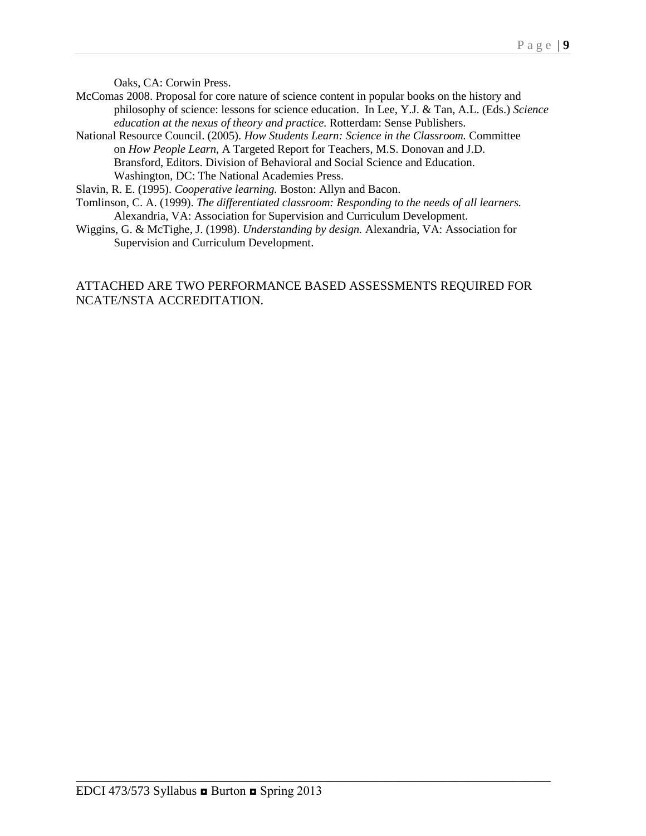Oaks, CA: Corwin Press.

- McComas 2008. Proposal for core nature of science content in popular books on the history and philosophy of science: lessons for science education. In Lee, Y.J. & Tan, A.L. (Eds.) *Science education at the nexus of theory and practice.* Rotterdam: Sense Publishers.
- National Resource Council. (2005). *How Students Learn: Science in the Classroom.* Committee on *How People Learn,* A Targeted Report for Teachers, M.S. Donovan and J.D. Bransford, Editors. Division of Behavioral and Social Science and Education. Washington, DC: The National Academies Press.

Slavin, R. E. (1995). *Cooperative learning.* Boston: Allyn and Bacon.

- Tomlinson, C. A. (1999). *The differentiated classroom: Responding to the needs of all learners.*  Alexandria, VA: Association for Supervision and Curriculum Development.
- Wiggins, G. & McTighe, J. (1998). *Understanding by design.* Alexandria, VA: Association for Supervision and Curriculum Development.

## ATTACHED ARE TWO PERFORMANCE BASED ASSESSMENTS REQUIRED FOR NCATE/NSTA ACCREDITATION.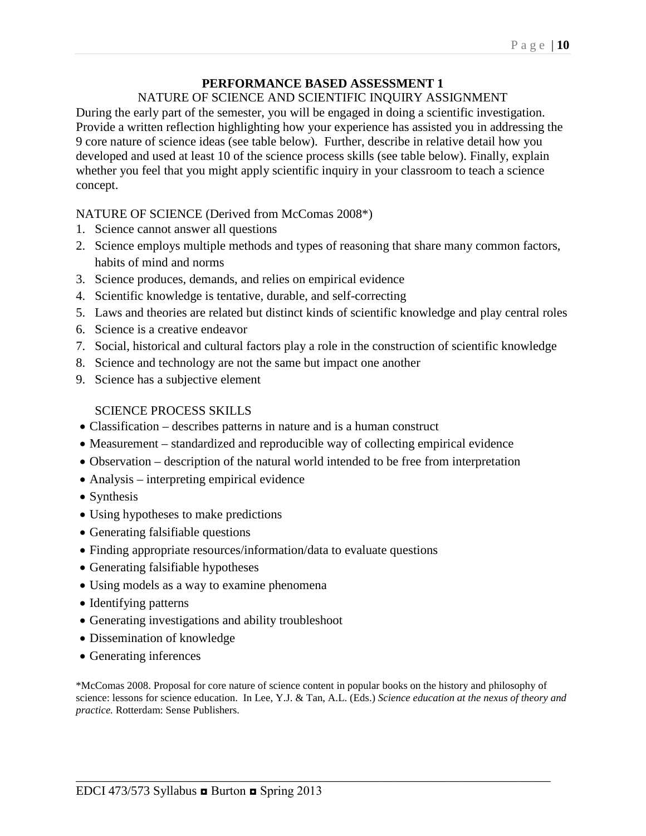## **PERFORMANCE BASED ASSESSMENT 1**

#### NATURE OF SCIENCE AND SCIENTIFIC INQUIRY ASSIGNMENT

During the early part of the semester, you will be engaged in doing a scientific investigation. Provide a written reflection highlighting how your experience has assisted you in addressing the 9 core nature of science ideas (see table below). Further, describe in relative detail how you developed and used at least 10 of the science process skills (see table below). Finally, explain whether you feel that you might apply scientific inquiry in your classroom to teach a science concept.

### NATURE OF SCIENCE (Derived from McComas 2008\*)

- 1. Science cannot answer all questions
- 2. Science employs multiple methods and types of reasoning that share many common factors, habits of mind and norms
- 3. Science produces, demands, and relies on empirical evidence
- 4. Scientific knowledge is tentative, durable, and self-correcting
- 5. Laws and theories are related but distinct kinds of scientific knowledge and play central roles
- 6. Science is a creative endeavor
- 7. Social, historical and cultural factors play a role in the construction of scientific knowledge
- 8. Science and technology are not the same but impact one another
- 9. Science has a subjective element

#### SCIENCE PROCESS SKILLS

- Classification describes patterns in nature and is a human construct
- Measurement standardized and reproducible way of collecting empirical evidence
- Observation description of the natural world intended to be free from interpretation
- Analysis interpreting empirical evidence
- Synthesis
- Using hypotheses to make predictions
- Generating falsifiable questions
- Finding appropriate resources/information/data to evaluate questions
- Generating falsifiable hypotheses
- Using models as a way to examine phenomena
- Identifying patterns
- Generating investigations and ability troubleshoot
- Dissemination of knowledge
- Generating inferences

\*McComas 2008. Proposal for core nature of science content in popular books on the history and philosophy of science: lessons for science education. In Lee, Y.J. & Tan, A.L. (Eds.) *Science education at the nexus of theory and practice.* Rotterdam: Sense Publishers.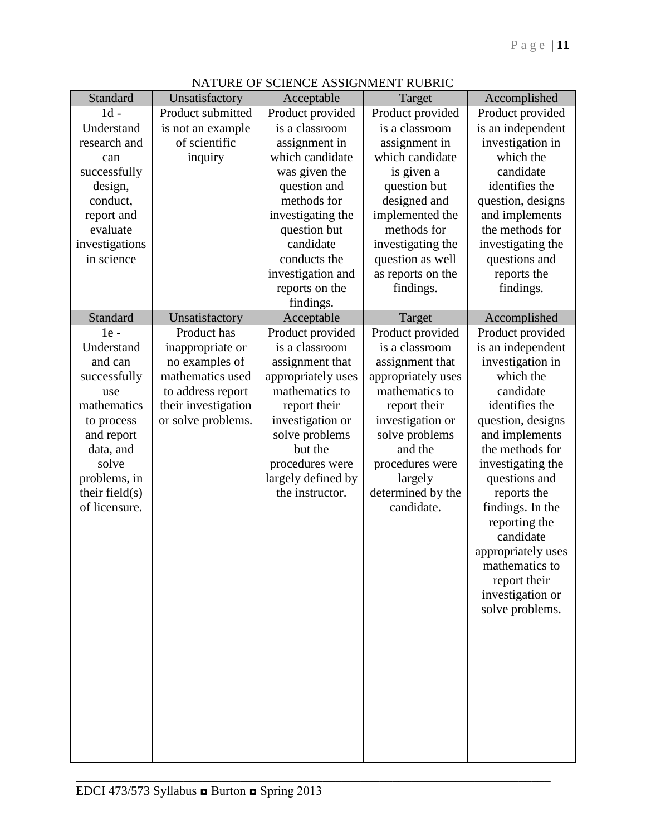| Standard                           | Unsatisfactory      | Acceptable         | Target                          | Accomplished                     |
|------------------------------------|---------------------|--------------------|---------------------------------|----------------------------------|
| $1d -$                             | Product submitted   | Product provided   | Product provided                | Product provided                 |
| Understand                         | is not an example   | is a classroom     | is a classroom                  | is an independent                |
| research and                       | of scientific       | assignment in      | assignment in                   | investigation in                 |
| can                                | inquiry             | which candidate    | which candidate                 | which the                        |
| successfully                       |                     | was given the      | is given a                      | candidate                        |
| design,                            |                     | question and       | question but                    | identifies the                   |
| conduct,                           |                     | methods for        | designed and                    | question, designs                |
| report and                         |                     | investigating the  | implemented the                 | and implements                   |
| evaluate                           |                     | question but       | methods for                     | the methods for                  |
| investigations                     |                     | candidate          | investigating the               | investigating the                |
| in science                         |                     | conducts the       | question as well                | questions and                    |
|                                    |                     | investigation and  | as reports on the               | reports the                      |
|                                    |                     | reports on the     | findings.                       | findings.                        |
|                                    |                     | findings.          |                                 |                                  |
| Standard                           | Unsatisfactory      | Acceptable         | Target                          | Accomplished                     |
| $1e -$                             | Product has         | Product provided   | Product provided                | Product provided                 |
| Understand                         | inappropriate or    | is a classroom     | is a classroom                  | is an independent                |
| and can                            | no examples of      | assignment that    | assignment that                 | investigation in                 |
| successfully                       | mathematics used    | appropriately uses | appropriately uses              | which the                        |
| use                                | to address report   | mathematics to     | mathematics to                  | candidate                        |
| mathematics                        | their investigation | report their       | report their                    | identifies the                   |
| to process                         | or solve problems.  | investigation or   | investigation or                | question, designs                |
| and report                         |                     | solve problems     | solve problems                  | and implements                   |
| data, and                          |                     | but the            | and the                         | the methods for                  |
| solve                              |                     | procedures were    | procedures were                 | investigating the                |
| problems, in                       |                     | largely defined by | largely                         | questions and                    |
| their field $(s)$<br>of licensure. |                     | the instructor.    | determined by the<br>candidate. | reports the                      |
|                                    |                     |                    |                                 | findings. In the                 |
|                                    |                     |                    |                                 | reporting the<br>candidate       |
|                                    |                     |                    |                                 |                                  |
|                                    |                     |                    |                                 | appropriately uses               |
|                                    |                     |                    |                                 | mathematics to                   |
|                                    |                     |                    |                                 | report their<br>investigation or |
|                                    |                     |                    |                                 | solve problems.                  |
|                                    |                     |                    |                                 |                                  |
|                                    |                     |                    |                                 |                                  |
|                                    |                     |                    |                                 |                                  |
|                                    |                     |                    |                                 |                                  |
|                                    |                     |                    |                                 |                                  |
|                                    |                     |                    |                                 |                                  |
|                                    |                     |                    |                                 |                                  |
|                                    |                     |                    |                                 |                                  |
|                                    |                     |                    |                                 |                                  |
|                                    |                     |                    |                                 |                                  |

## NATURE OF SCIENCE ASSIGNMENT RUBRIC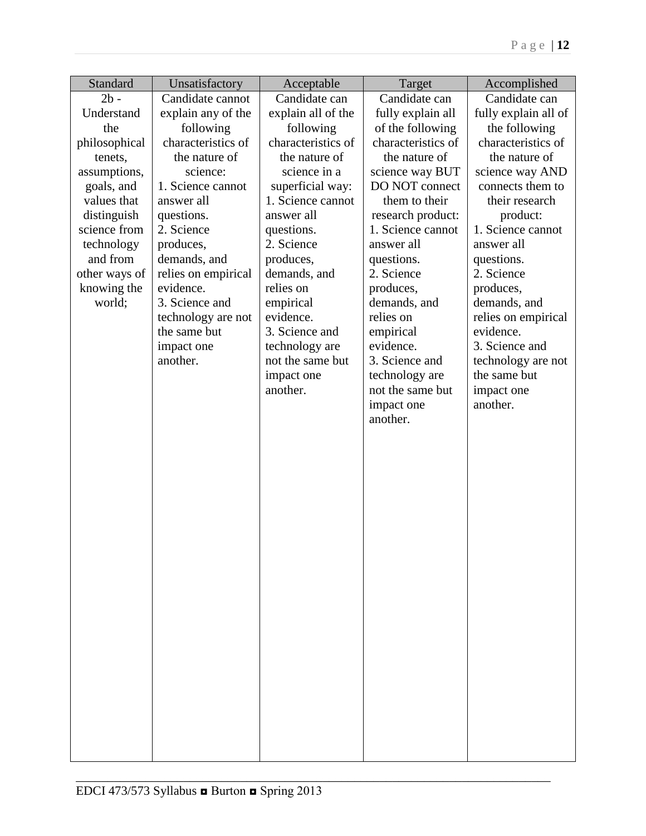| Standard      | Unsatisfactory      | Acceptable         | Target             | Accomplished         |
|---------------|---------------------|--------------------|--------------------|----------------------|
| $2b -$        | Candidate cannot    | Candidate can      | Candidate can      | Candidate can        |
| Understand    | explain any of the  | explain all of the | fully explain all  | fully explain all of |
| the           | following           | following          | of the following   | the following        |
| philosophical | characteristics of  | characteristics of | characteristics of | characteristics of   |
| tenets,       | the nature of       | the nature of      | the nature of      | the nature of        |
| assumptions,  | science:            | science in a       | science way BUT    | science way AND      |
| goals, and    | 1. Science cannot   | superficial way:   | DO NOT connect     | connects them to     |
| values that   | answer all          | 1. Science cannot  | them to their      | their research       |
| distinguish   | questions.          | answer all         | research product:  | product:             |
| science from  | 2. Science          | questions.         | 1. Science cannot  | 1. Science cannot    |
| technology    | produces,           | 2. Science         | answer all         | answer all           |
| and from      | demands, and        | produces,          | questions.         | questions.           |
| other ways of | relies on empirical | demands, and       | 2. Science         | 2. Science           |
| knowing the   | evidence.           | relies on          | produces,          | produces,            |
| world;        | 3. Science and      | empirical          | demands, and       | demands, and         |
|               | technology are not  | evidence.          | relies on          | relies on empirical  |
|               | the same but        | 3. Science and     | empirical          | evidence.            |
|               | impact one          | technology are     | evidence.          | 3. Science and       |
|               | another.            | not the same but   | 3. Science and     | technology are not   |
|               |                     | impact one         | technology are     | the same but         |
|               |                     | another.           | not the same but   | impact one           |
|               |                     |                    | impact one         | another.             |
|               |                     |                    | another.           |                      |
|               |                     |                    |                    |                      |
|               |                     |                    |                    |                      |
|               |                     |                    |                    |                      |
|               |                     |                    |                    |                      |
|               |                     |                    |                    |                      |
|               |                     |                    |                    |                      |
|               |                     |                    |                    |                      |
|               |                     |                    |                    |                      |
|               |                     |                    |                    |                      |
|               |                     |                    |                    |                      |
|               |                     |                    |                    |                      |
|               |                     |                    |                    |                      |
|               |                     |                    |                    |                      |
|               |                     |                    |                    |                      |
|               |                     |                    |                    |                      |
|               |                     |                    |                    |                      |
|               |                     |                    |                    |                      |
|               |                     |                    |                    |                      |
|               |                     |                    |                    |                      |
|               |                     |                    |                    |                      |
|               |                     |                    |                    |                      |
|               |                     |                    |                    |                      |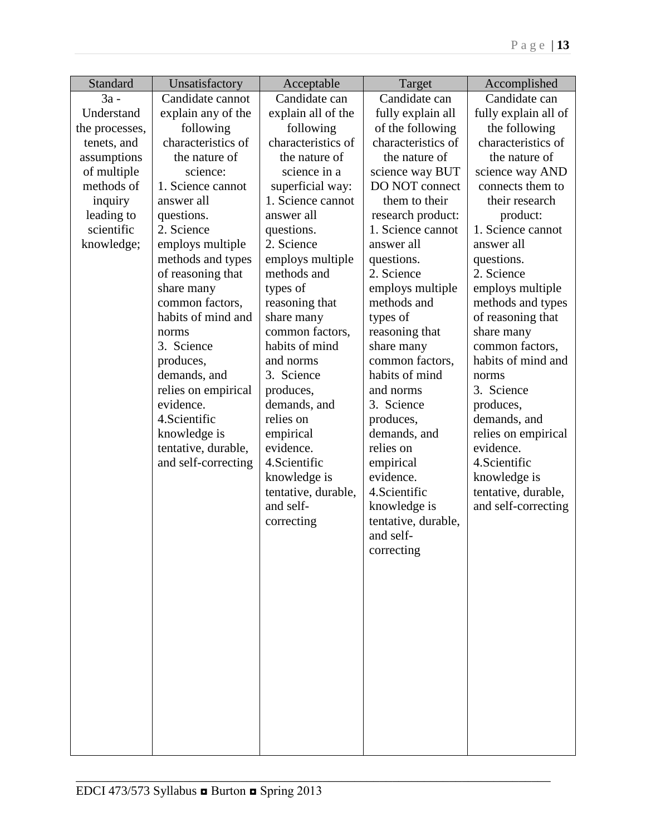| Standard       | Unsatisfactory      | Acceptable          | Target              | Accomplished         |
|----------------|---------------------|---------------------|---------------------|----------------------|
| $3a -$         | Candidate cannot    | Candidate can       | Candidate can       | Candidate can        |
| Understand     | explain any of the  | explain all of the  | fully explain all   | fully explain all of |
| the processes, | following           | following           | of the following    | the following        |
| tenets, and    | characteristics of  | characteristics of  | characteristics of  | characteristics of   |
| assumptions    | the nature of       | the nature of       | the nature of       | the nature of        |
| of multiple    | science:            | science in a        | science way BUT     | science way AND      |
| methods of     | 1. Science cannot   | superficial way:    | DO NOT connect      | connects them to     |
| inquiry        | answer all          | 1. Science cannot   | them to their       | their research       |
| leading to     | questions.          | answer all          | research product:   | product:             |
| scientific     | 2. Science          | questions.          | 1. Science cannot   | 1. Science cannot    |
| knowledge;     | employs multiple    | 2. Science          | answer all          | answer all           |
|                | methods and types   | employs multiple    | questions.          | questions.           |
|                | of reasoning that   | methods and         | 2. Science          | 2. Science           |
|                | share many          | types of            | employs multiple    | employs multiple     |
|                | common factors,     | reasoning that      | methods and         | methods and types    |
|                | habits of mind and  | share many          | types of            | of reasoning that    |
|                | norms               | common factors,     | reasoning that      | share many           |
|                | 3. Science          | habits of mind      | share many          | common factors,      |
|                | produces,           | and norms           | common factors,     | habits of mind and   |
|                | demands, and        | 3. Science          | habits of mind      | norms                |
|                | relies on empirical | produces,           | and norms           | 3. Science           |
|                | evidence.           | demands, and        | 3. Science          | produces,            |
|                | 4. Scientific       | relies on           | produces,           | demands, and         |
|                | knowledge is        | empirical           | demands, and        | relies on empirical  |
|                | tentative, durable, | evidence.           | relies on           | evidence.            |
|                | and self-correcting | 4. Scientific       | empirical           | 4. Scientific        |
|                |                     | knowledge is        | evidence.           | knowledge is         |
|                |                     | tentative, durable, | 4. Scientific       | tentative, durable,  |
|                |                     | and self-           | knowledge is        | and self-correcting  |
|                |                     | correcting          | tentative, durable, |                      |
|                |                     |                     | and self-           |                      |
|                |                     |                     | correcting          |                      |
|                |                     |                     |                     |                      |
|                |                     |                     |                     |                      |
|                |                     |                     |                     |                      |
|                |                     |                     |                     |                      |
|                |                     |                     |                     |                      |
|                |                     |                     |                     |                      |
|                |                     |                     |                     |                      |
|                |                     |                     |                     |                      |
|                |                     |                     |                     |                      |
|                |                     |                     |                     |                      |
|                |                     |                     |                     |                      |
|                |                     |                     |                     |                      |
|                |                     |                     |                     |                      |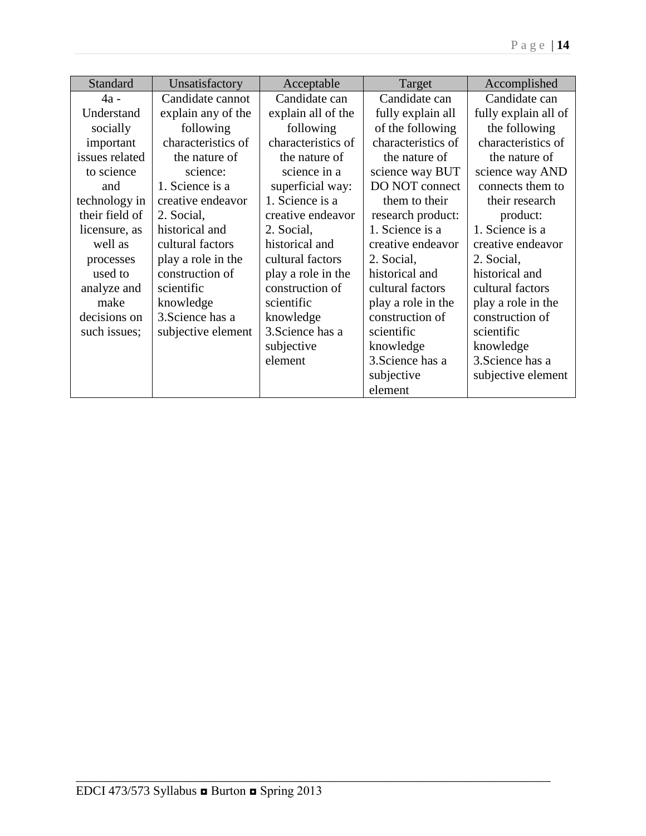| Standard       | Unsatisfactory     | Acceptable         | Target             | Accomplished         |
|----------------|--------------------|--------------------|--------------------|----------------------|
| 4a -           | Candidate cannot   | Candidate can      | Candidate can      | Candidate can        |
| Understand     | explain any of the | explain all of the | fully explain all  | fully explain all of |
| socially       | following          | following          | of the following   | the following        |
| important      | characteristics of | characteristics of | characteristics of | characteristics of   |
| issues related | the nature of      | the nature of      | the nature of      | the nature of        |
| to science     | science:           | science in a       | science way BUT    | science way AND      |
| and            | 1. Science is a    | superficial way:   | DO NOT connect     | connects them to     |
| technology in  | creative endeavor  | 1. Science is a    | them to their      | their research       |
| their field of | 2. Social,         | creative endeavor  | research product:  | product:             |
| licensure, as  | historical and     | 2. Social,         | 1. Science is a    | 1. Science is a      |
| well as        | cultural factors   | historical and     | creative endeavor  | creative endeavor    |
| processes      | play a role in the | cultural factors   | 2. Social,         | 2. Social,           |
| used to        | construction of    | play a role in the | historical and     | historical and       |
| analyze and    | scientific         | construction of    | cultural factors   | cultural factors     |
| make           | knowledge          | scientific         | play a role in the | play a role in the   |
| decisions on   | 3. Science has a   | knowledge          | construction of    | construction of      |
| such issues;   | subjective element | 3. Science has a   | scientific         | scientific           |
|                |                    | subjective         | knowledge          | knowledge            |
|                |                    | element            | 3. Science has a   | 3. Science has a     |
|                |                    |                    | subjective         | subjective element   |
|                |                    |                    | element            |                      |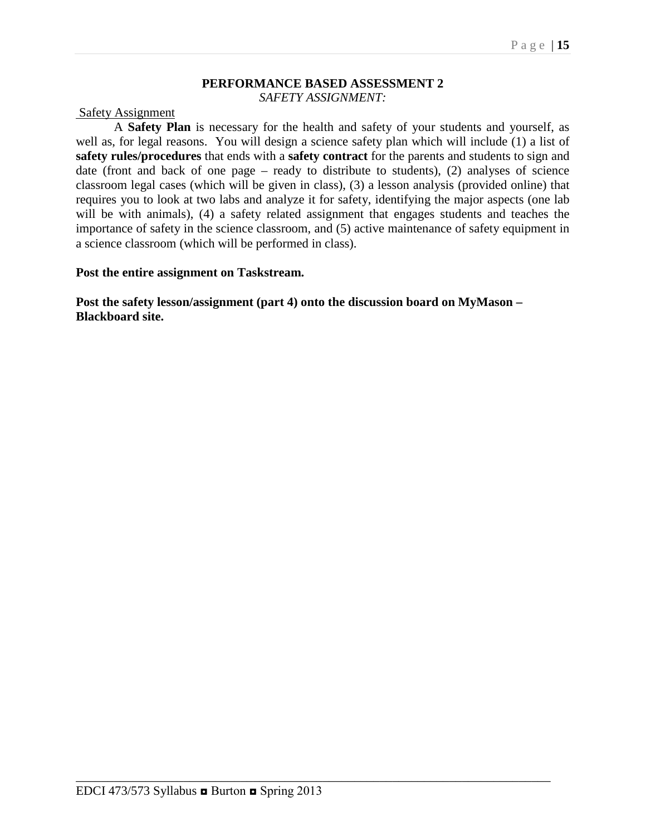#### **PERFORMANCE BASED ASSESSMENT 2** *SAFETY ASSIGNMENT:*

#### Safety Assignment

A **Safety Plan** is necessary for the health and safety of your students and yourself, as well as, for legal reasons. You will design a science safety plan which will include (1) a list of **safety rules/procedures** that ends with a **safety contract** for the parents and students to sign and date (front and back of one page – ready to distribute to students), (2) analyses of science classroom legal cases (which will be given in class), (3) a lesson analysis (provided online) that requires you to look at two labs and analyze it for safety, identifying the major aspects (one lab will be with animals), (4) a safety related assignment that engages students and teaches the importance of safety in the science classroom, and (5) active maintenance of safety equipment in a science classroom (which will be performed in class).

#### **Post the entire assignment on Taskstream.**

**Post the safety lesson/assignment (part 4) onto the discussion board on MyMason – Blackboard site.**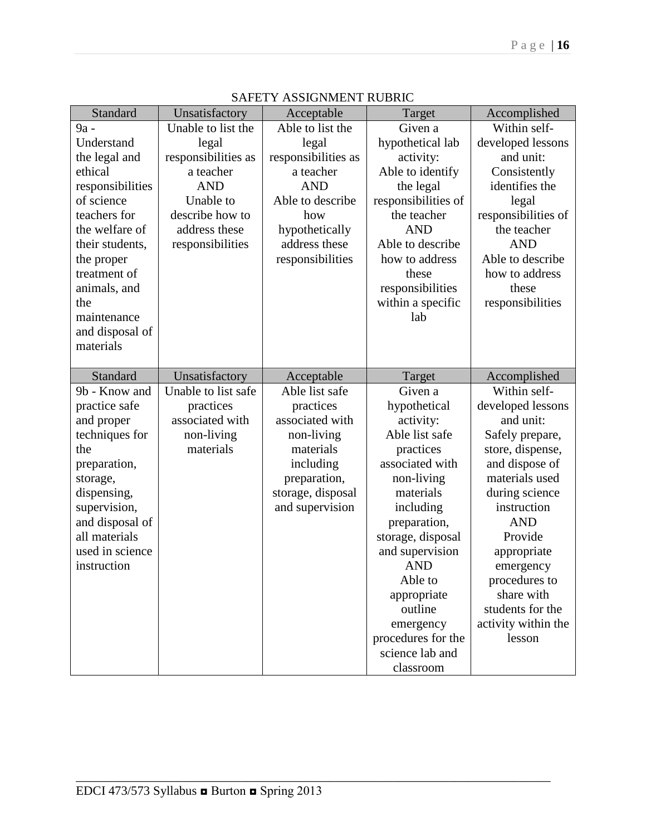| Standard         | Unsatisfactory      | Acceptable          | Target                       | Accomplished        |
|------------------|---------------------|---------------------|------------------------------|---------------------|
| 9a -             | Unable to list the  | Able to list the    | Given a                      | Within self-        |
| Understand       | legal               | legal               | hypothetical lab             | developed lessons   |
| the legal and    | responsibilities as | responsibilities as | activity:                    | and unit:           |
| ethical          | a teacher           | a teacher           | Able to identify             | Consistently        |
| responsibilities | <b>AND</b>          | <b>AND</b>          | the legal                    | identifies the      |
| of science       | Unable to           | Able to describe    | responsibilities of          | legal               |
| teachers for     | describe how to     | how                 | the teacher                  | responsibilities of |
| the welfare of   | address these       | hypothetically      | <b>AND</b>                   | the teacher         |
| their students,  | responsibilities    | address these       | Able to describe             | <b>AND</b>          |
| the proper       |                     | responsibilities    | how to address               | Able to describe    |
| treatment of     |                     |                     | these                        | how to address      |
| animals, and     |                     |                     | responsibilities             | these               |
| the              |                     |                     | within a specific            | responsibilities    |
| maintenance      |                     |                     | lab                          |                     |
| and disposal of  |                     |                     |                              |                     |
| materials        |                     |                     |                              |                     |
|                  |                     |                     |                              |                     |
| Standard         | Unsatisfactory      | Acceptable          | Target                       | Accomplished        |
|                  |                     |                     |                              |                     |
| 9b - Know and    | Unable to list safe | Able list safe      | Given a                      | Within self-        |
| practice safe    | practices           | practices           | hypothetical                 | developed lessons   |
| and proper       | associated with     | associated with     | activity:                    | and unit:           |
| techniques for   | non-living          | non-living          | Able list safe               | Safely prepare,     |
| the              | materials           | materials           | practices                    | store, dispense,    |
| preparation,     |                     | including           | associated with              | and dispose of      |
| storage,         |                     | preparation,        | non-living                   | materials used      |
| dispensing,      |                     | storage, disposal   | materials                    | during science      |
| supervision,     |                     | and supervision     | including                    | instruction         |
| and disposal of  |                     |                     | preparation,                 | <b>AND</b>          |
| all materials    |                     |                     | storage, disposal            | Provide             |
| used in science  |                     |                     | and supervision              | appropriate         |
| instruction      |                     |                     | <b>AND</b>                   | emergency           |
|                  |                     |                     | Able to                      | procedures to       |
|                  |                     |                     | appropriate                  | share with          |
|                  |                     |                     | outline                      | students for the    |
|                  |                     |                     | emergency                    | activity within the |
|                  |                     |                     | procedures for the           | lesson              |
|                  |                     |                     | science lab and<br>classroom |                     |

|  | SAFETY ASSIGNMENT RUBRIC |  |
|--|--------------------------|--|
|--|--------------------------|--|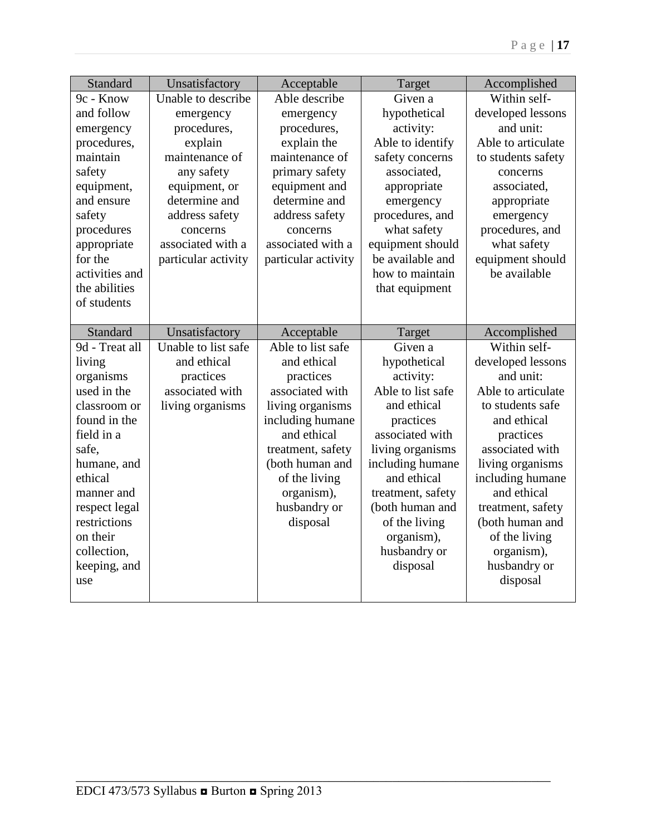| <b>Standard</b>               | Unsatisfactory      | Acceptable                 | Target                               | Accomplished                         |
|-------------------------------|---------------------|----------------------------|--------------------------------------|--------------------------------------|
| 9c - Know                     | Unable to describe  | Able describe              | Given a                              | Within self-                         |
| and follow                    | emergency           | emergency                  | hypothetical                         | developed lessons                    |
| emergency                     | procedures,         | procedures,                | activity:                            | and unit:                            |
| procedures,                   | explain             | explain the                | Able to identify                     | Able to articulate                   |
| maintain                      | maintenance of      | maintenance of             | safety concerns                      | to students safety                   |
| safety                        | any safety          | primary safety             | associated,                          | concerns                             |
| equipment,                    | equipment, or       | equipment and              | appropriate                          | associated,                          |
| and ensure                    | determine and       | determine and              | emergency                            | appropriate                          |
| safety                        | address safety      | address safety             | procedures, and                      | emergency                            |
| procedures                    | concerns            | concerns                   | what safety                          | procedures, and                      |
| appropriate                   | associated with a   | associated with a          | equipment should                     | what safety                          |
| for the                       | particular activity | particular activity        | be available and                     | equipment should                     |
| activities and                |                     |                            | how to maintain                      | be available                         |
| the abilities                 |                     |                            | that equipment                       |                                      |
| of students                   |                     |                            |                                      |                                      |
|                               |                     |                            |                                      |                                      |
| Standard                      | Unsatisfactory      | Acceptable                 | Target                               | Accomplished                         |
| 9d - Treat all                | Unable to list safe | Able to list safe          | Given a                              | Within self-                         |
| living                        | and ethical         | and ethical                | hypothetical                         | developed lessons                    |
| organisms                     | practices           | practices                  | activity:                            | and unit:                            |
| used in the                   | associated with     | associated with            | Able to list safe                    | Able to articulate                   |
| classroom or                  | living organisms    | living organisms           | and ethical                          | to students safe                     |
| found in the                  |                     | including humane           | practices                            | and ethical                          |
| field in a                    |                     | and ethical                | associated with                      | practices                            |
| safe,                         |                     | treatment, safety          | living organisms                     | associated with                      |
| humane, and<br>ethical        |                     | (both human and            | including humane<br>and ethical      | living organisms                     |
|                               |                     | of the living              |                                      | including humane<br>and ethical      |
| manner and                    |                     | organism),<br>husbandry or | treatment, safety<br>(both human and |                                      |
| respect legal<br>restrictions |                     |                            |                                      | treatment, safety<br>(both human and |
| on their                      |                     | disposal                   | of the living                        |                                      |
|                               |                     |                            | organism),                           | of the living                        |
| collection,<br>keeping, and   |                     |                            | husbandry or<br>disposal             | organism),<br>husbandry or           |
| use                           |                     |                            |                                      | disposal                             |
|                               |                     |                            |                                      |                                      |
|                               |                     |                            |                                      |                                      |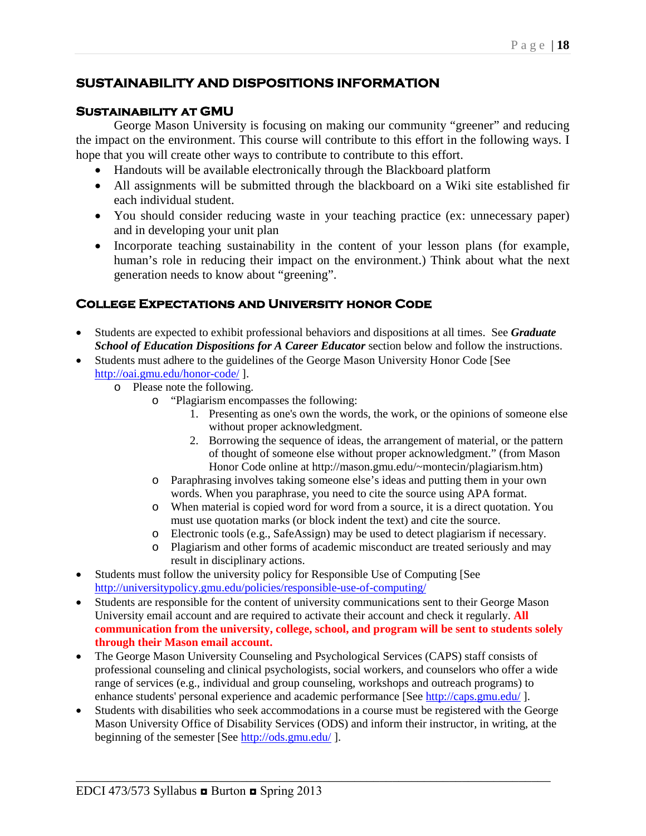# **SUSTAINABILITY AND DISPOSITIONS INFORMATION**

### **Sustainability at GMU**

George Mason University is focusing on making our community "greener" and reducing the impact on the environment. This course will contribute to this effort in the following ways. I hope that you will create other ways to contribute to contribute to this effort.

- Handouts will be available electronically through the Blackboard platform
- All assignments will be submitted through the blackboard on a Wiki site established fir each individual student.
- You should consider reducing waste in your teaching practice (ex: unnecessary paper) and in developing your unit plan
- Incorporate teaching sustainability in the content of your lesson plans (for example, human's role in reducing their impact on the environment.) Think about what the next generation needs to know about "greening".

# **College Expectations and University honor Code**

- Students are expected to exhibit professional behaviors and dispositions at all times. See *Graduate School of Education Dispositions for A Career Educator* section below and follow the instructions.
- Students must adhere to the guidelines of the George Mason University Honor Code [See <http://oai.gmu.edu/honor-code/> ].
	- o Please note the following.
		- o "Plagiarism encompasses the following:
			- 1. Presenting as one's own the words, the work, or the opinions of someone else without proper acknowledgment.
			- 2. Borrowing the sequence of ideas, the arrangement of material, or the pattern of thought of someone else without proper acknowledgment." (from Mason Honor Code online at http://mason.gmu.edu/~montecin/plagiarism.htm)
		- o Paraphrasing involves taking someone else's ideas and putting them in your own words. When you paraphrase, you need to cite the source using APA format.
		- o When material is copied word for word from a source, it is a direct quotation. You must use quotation marks (or block indent the text) and cite the source.
		- o Electronic tools (e.g., SafeAssign) may be used to detect plagiarism if necessary.
		- o Plagiarism and other forms of academic misconduct are treated seriously and may result in disciplinary actions.
- Students must follow the university policy for Responsible Use of Computing [See <http://universitypolicy.gmu.edu/policies/responsible-use-of-computing/>
- Students are responsible for the content of university communications sent to their George Mason University email account and are required to activate their account and check it regularly. **All communication from the university, college, school, and program will be sent to students solely through their Mason email account.**
- The George Mason University Counseling and Psychological Services (CAPS) staff consists of professional counseling and clinical psychologists, social workers, and counselors who offer a wide range of services (e.g., individual and group counseling, workshops and outreach programs) to enhance students' personal experience and academic performance [See<http://caps.gmu.edu/>].
- Students with disabilities who seek accommodations in a course must be registered with the George Mason University Office of Disability Services (ODS) and inform their instructor, in writing, at the beginning of the semester [See<http://ods.gmu.edu/>].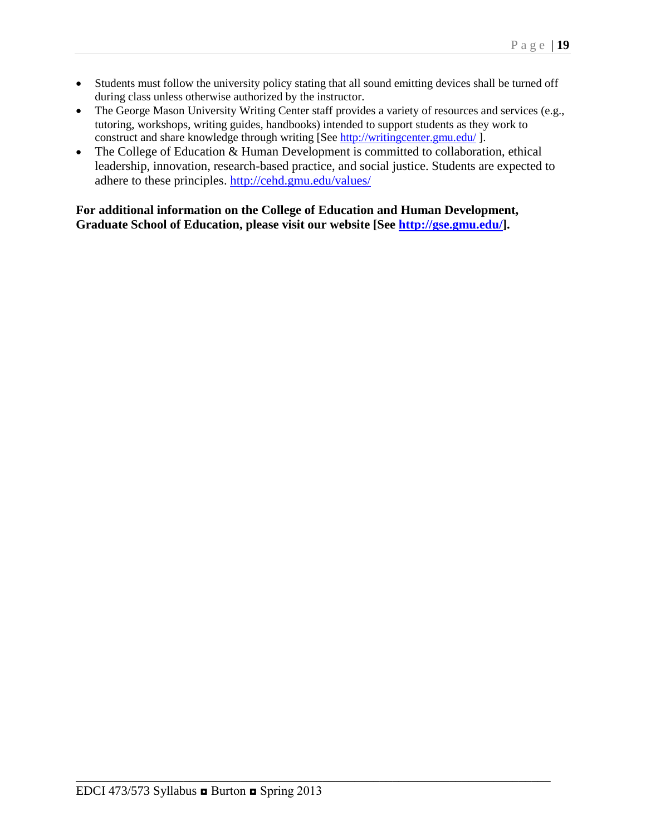- Students must follow the university policy stating that all sound emitting devices shall be turned off during class unless otherwise authorized by the instructor.
- The George Mason University Writing Center staff provides a variety of resources and services (e.g., tutoring, workshops, writing guides, handbooks) intended to support students as they work to construct and share knowledge through writing [See<http://writingcenter.gmu.edu/> ].
- The College of Education & Human Development is committed to collaboration, ethical leadership, innovation, research-based practice, and social justice. Students are expected to adhere to these principles.<http://cehd.gmu.edu/values/>

**For additional information on the College of Education and Human Development, Graduate School of Education, please visit our website [See [http://gse.gmu.edu/\]](http://gse.gmu.edu/).**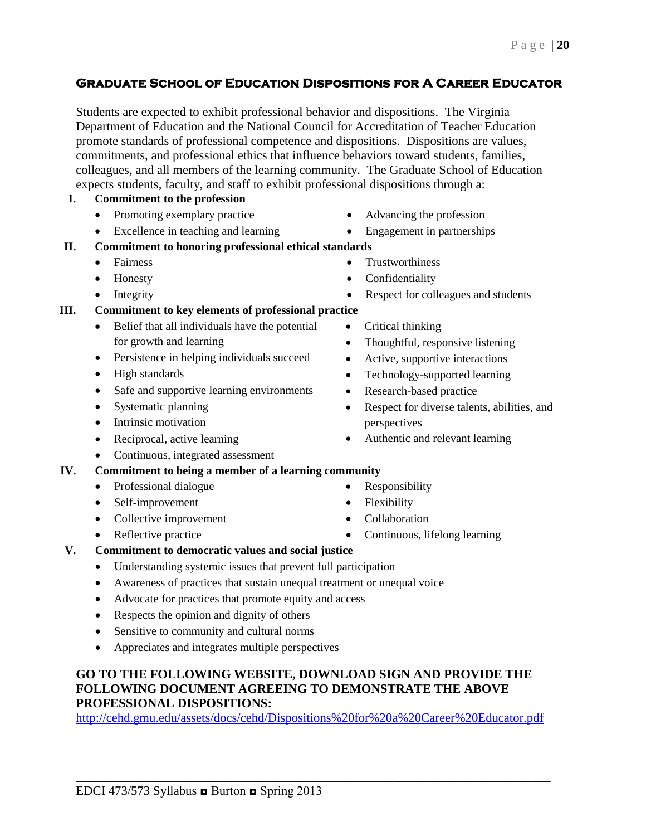#### Page | **20**

# **Graduate School of Education Dispositions for A Career Educator**

Students are expected to exhibit professional behavior and dispositions. The Virginia Department of Education and the National Council for Accreditation of Teacher Education promote standards of professional competence and dispositions. Dispositions are values, commitments, and professional ethics that influence behaviors toward students, families, colleagues, and all members of the learning community. The Graduate School of Education expects students, faculty, and staff to exhibit professional dispositions through a:

## **I. Commitment to the profession**

- Promoting exemplary practice
- Excellence in teaching and learning
- **II. Commitment to honoring professional ethical standards**
	- Fairness
	- Honesty
	- Integrity

# **III. Commitment to key elements of professional practice**

- Belief that all individuals have the potential for growth and learning
- Persistence in helping individuals succeed
- High standards
- Safe and supportive learning environments
- Systematic planning
- Intrinsic motivation
- Reciprocal, active learning
- Continuous, integrated assessment

# **IV. Commitment to being a member of a learning community**

- Professional dialogue
- Self-improvement
- Collective improvement
- Reflective practice
- Advancing the profession
- Engagement in partnerships
- **Trustworthiness**
- **Confidentiality**
- Respect for colleagues and students
- Critical thinking
- Thoughtful, responsive listening
- Active, supportive interactions
- Technology-supported learning
- Research-based practice
- Respect for diverse talents, abilities, and perspectives
- Authentic and relevant learning
- Responsibility
- Flexibility
- Collaboration
- Continuous, lifelong learning

## **V. Commitment to democratic values and social justice**

- Understanding systemic issues that prevent full participation
- Awareness of practices that sustain unequal treatment or unequal voice
- Advocate for practices that promote equity and access
- Respects the opinion and dignity of others
- Sensitive to community and cultural norms
- Appreciates and integrates multiple perspectives

# **GO TO THE FOLLOWING WEBSITE, DOWNLOAD SIGN AND PROVIDE THE FOLLOWING DOCUMENT AGREEING TO DEMONSTRATE THE ABOVE PROFESSIONAL DISPOSITIONS:**

<http://cehd.gmu.edu/assets/docs/cehd/Dispositions%20for%20a%20Career%20Educator.pdf>